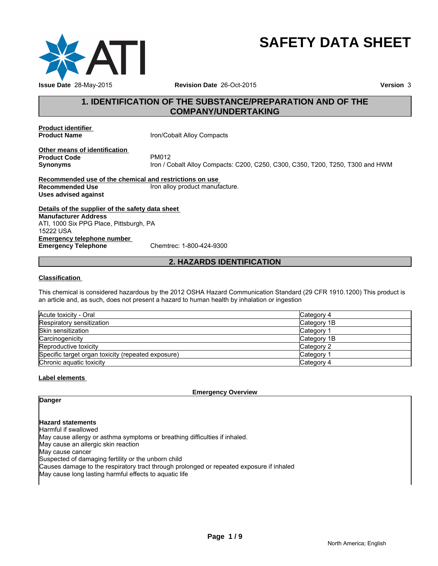

# **SAFETY DATA SHEET**

## **1. IDENTIFICATION OF THE SUBSTANCE/PREPARATION AND OF THE COMPANY/UNDERTAKING**

**Product identifier** 

**Iron/Cobalt Alloy Compacts** 

**Other means of identification**<br>**Product Code** PM012 **Product Code**<br>Synonyms

**Synonyms** Iron / Cobalt Alloy Compacts: C200, C250, C300, C350, T200, T250, T300 and HWM

**Recommended use of the chemical and restrictions on use Recommended Use** Iron alloy product manufacture. **Uses advised against**

**Details of the supplier of the safety data sheet Emergency telephone number Emergency Telephone** Chemtrec: 1-800-424-9300 **Manufacturer Address** ATI, 1000 Six PPG Place, Pittsburgh, PA 15222 USA

**2. HAZARDS IDENTIFICATION**

#### **Classification**

This chemical is considered hazardous by the 2012 OSHA Hazard Communication Standard (29 CFR 1910.1200) This product is an article and, as such, does not present a hazard to human health by inhalation or ingestion

| Acute toxicity - Oral                              | Category 4  |
|----------------------------------------------------|-------------|
| Respiratory sensitization                          | Category 1B |
| Skin sensitization                                 | Category    |
| Carcinogenicity                                    | Category 1B |
| Reproductive toxicity                              | Category 2  |
| Specific target organ toxicity (repeated exposure) | Category    |
| Chronic aquatic toxicity                           | Category 4  |

#### **Label elements**

**Emergency Overview**

**Danger**

#### **Hazard statements**

Harmful if swallowed May cause allergy or asthma symptoms or breathing difficulties if inhaled. May cause an allergic skin reaction May cause cancer Suspected of damaging fertility or the unborn child Causes damage to the respiratory tract through prolonged or repeated exposure if inhaled May cause long lasting harmful effects to aquatic life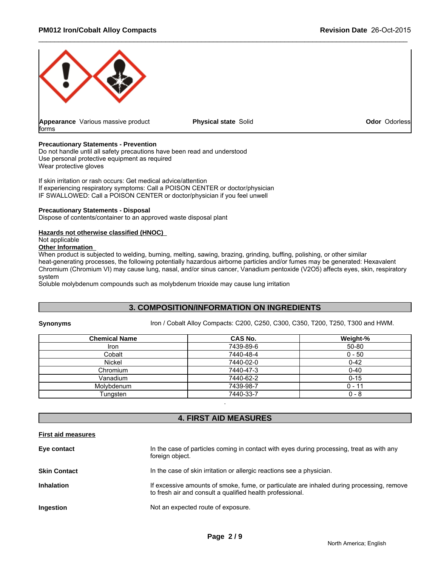

#### **Precautionary Statements - Prevention**

Do not handle until all safety precautions have been read and understood Use personal protective equipment as required Wear protective gloves

If skin irritation or rash occurs: Get medical advice/attention If experiencing respiratory symptoms: Call a POISON CENTER or doctor/physician IF SWALLOWED: Call a POISON CENTER or doctor/physician if you feel unwell

#### **Precautionary Statements - Disposal**

Dispose of contents/container to an approved waste disposal plant

#### **Hazards not otherwise classified (HNOC)**

Not applicable

### **Other Information**

When product is subjected to welding, burning, melting, sawing, brazing, grinding, buffing, polishing, or other similar heat-generating processes, the following potentially hazardous airborne particles and/or fumes may be generated: Hexavalent Chromium (Chromium VI) may cause lung, nasal, and/or sinus cancer, Vanadium pentoxide (V2O5) affects eyes, skin, respiratory system

Soluble molybdenum compounds such as molybdenum trioxide may cause lung irritation

### **3. COMPOSITION/INFORMATION ON INGREDIENTS**

**Synonyms** Iron / Cobalt Alloy Compacts: C200, C250, C300, C350, T200, T250, T300 and HWM.

| <b>Chemical Name</b> | <b>CAS No.</b> | Weight-% |
|----------------------|----------------|----------|
| Iron                 | 7439-89-6      | 50-80    |
| Cobalt               | 7440-48-4      | $0 - 50$ |
| <b>Nickel</b>        | 7440-02-0      | $0 - 42$ |
| Chromium             | 7440-47-3      | $0 - 40$ |
| Vanadium             | 7440-62-2      | $0 - 15$ |
| Molybdenum           | 7439-98-7      | $0 - 1'$ |
| Tungsten             | 7440-33-7      | 0 - 8    |

### **4. FIRST AID MEASURES**

.

#### **First aid measures**

| Eye contact         | In the case of particles coming in contact with eyes during processing, treat as with any<br>foreign object.                                           |
|---------------------|--------------------------------------------------------------------------------------------------------------------------------------------------------|
| <b>Skin Contact</b> | In the case of skin irritation or allergic reactions see a physician.                                                                                  |
| Inhalation          | If excessive amounts of smoke, fume, or particulate are inhaled during processing, remove<br>to fresh air and consult a qualified health professional. |
| Ingestion           | Not an expected route of exposure.                                                                                                                     |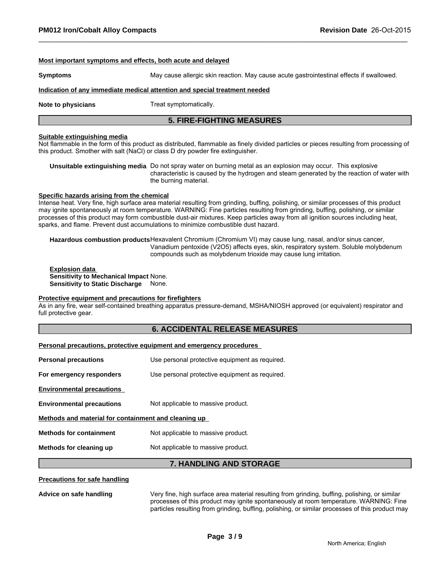#### **Most important symptoms and effects, both acute and delayed**

**Symptoms** May cause allergic skin reaction. May cause acute gastrointestinal effects if swallowed.

#### **Indication of any immediate medical attention and special treatment needed**

**Note to physicians** Treat symptomatically.

### **5. FIRE-FIGHTING MEASURES**

#### **Suitable extinguishing media**

Not flammable in the form of this product as distributed, flammable as finely divided particles or pieces resulting from processing of this product. Smother with salt (NaCl) or class D dry powder fire extinguisher.

**Unsuitable extinguishing media** Do not spray water on burning metal as an explosion may occur. This explosive characteristic is caused by the hydrogen and steam generated by the reaction of water with the burning material.

#### **Specific hazards arising from the chemical**

Intense heat. Very fine, high surface area material resulting from grinding, buffing, polishing, or similar processes of this product may ignite spontaneously at room temperature. WARNING: Fine particles resulting from grinding, buffing, polishing, or similar processes of this product may form combustible dust-air mixtures. Keep particles away from all ignition sources including heat, sparks, and flame. Prevent dust accumulations to minimize combustible dust hazard.

**Hazardous combustion products**Hexavalent Chromium (Chromium VI) may cause lung, nasal, and/or sinus cancer, Vanadium pentoxide (V2O5) affects eyes, skin, respiratory system. Soluble molybdenum compounds such as molybdenum trioxide may cause lung irritation.

**Explosion data Sensitivity to Mechanical Impact** None. **Sensitivity to Static Discharge** None.

#### **Protective equipment and precautions for firefighters**

As in any fire, wear self-contained breathing apparatus pressure-demand, MSHA/NIOSH approved (or equivalent) respirator and full protective gear.

#### **6. ACCIDENTAL RELEASE MEASURES**

#### **Personal precautions, protective equipment and emergency procedures**

| Use personal protective equipment as required.       |  |  |
|------------------------------------------------------|--|--|
| Use personal protective equipment as required.       |  |  |
|                                                      |  |  |
| Not applicable to massive product.                   |  |  |
| Methods and material for containment and cleaning up |  |  |
| Not applicable to massive product.                   |  |  |
| Not applicable to massive product.                   |  |  |
|                                                      |  |  |

### **7. HANDLING AND STORAGE**

#### **Precautions for safe handling**

**Advice on safe handling** Very fine, high surface area material resulting from grinding, buffing, polishing, or similar processes of this product may ignite spontaneously at room temperature. WARNING: Fine particles resulting from grinding, buffing, polishing, or similar processes of this product may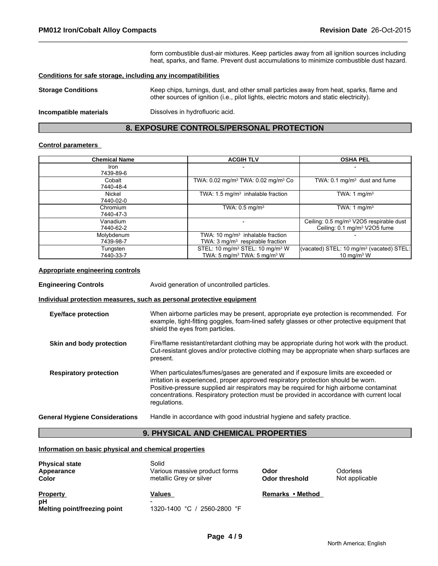form combustible dust-air mixtures. Keep particles away from all ignition sources including heat, sparks, and flame. Prevent dust accumulations to minimize combustible dust hazard.

#### **Conditions for safe storage, including any incompatibilities**

| <b>Storage Conditions</b> | Keep chips, turnings, dust, and other small particles away from heat, sparks, flame and<br>other sources of ignition (i.e., pilot lights, electric motors and static electricity). |
|---------------------------|------------------------------------------------------------------------------------------------------------------------------------------------------------------------------------|
|                           |                                                                                                                                                                                    |

**Incompatible materials** Dissolves in hydrofluoric acid.

### **8. EXPOSURE CONTROLS/PERSONAL PROTECTION**

#### **Control parameters**

| <b>Chemical Name</b>    | <b>ACGIH TLV</b>                                                                             | <b>OSHA PEL</b>                                                                                 |
|-------------------------|----------------------------------------------------------------------------------------------|-------------------------------------------------------------------------------------------------|
| Iron<br>7439-89-6       |                                                                                              | $\overline{\phantom{0}}$                                                                        |
| Cobalt<br>7440-48-4     | TWA: 0.02 mg/m <sup>3</sup> TWA: 0.02 mg/m <sup>3</sup> Co                                   | TWA: $0.1 \text{ mg/m}^3$ dust and fume                                                         |
| Nickel<br>7440-02-0     | TWA: $1.5 \text{ mg/m}^3$ inhalable fraction                                                 | TWA: 1 $mq/m3$                                                                                  |
| Chromium<br>7440-47-3   | TWA: $0.5$ mg/m <sup>3</sup>                                                                 | TWA: 1 $mq/m3$                                                                                  |
| Vanadium<br>7440-62-2   |                                                                                              | Ceiling: 0.5 mg/m <sup>3</sup> V2O5 respirable dust<br>Ceiling: 0.1 mg/m <sup>3</sup> V2O5 fume |
| Molybdenum<br>7439-98-7 | TWA: $10 \text{ mg/m}^3$ inhalable fraction<br>TWA: 3 mg/m <sup>3</sup> respirable fraction  |                                                                                                 |
| Tungsten<br>7440-33-7   | STEL: 10 mg/m <sup>3</sup> STEL: 10 mg/m <sup>3</sup> W<br>TWA: 5 mg/m $3$ TWA: 5 mg/m $3$ W | (vacated) STEL: 10 mg/m <sup>3</sup> (vacated) STEL:<br>$10 \text{ ma/m}$ <sup>3</sup> W        |

#### **Appropriate engineering controls**

| <b>Engineering Controls</b>           | Avoid generation of uncontrolled particles.                                                                                                                                                                                                                                                                                                                                    |  |
|---------------------------------------|--------------------------------------------------------------------------------------------------------------------------------------------------------------------------------------------------------------------------------------------------------------------------------------------------------------------------------------------------------------------------------|--|
|                                       | Individual protection measures, such as personal protective equipment                                                                                                                                                                                                                                                                                                          |  |
| <b>Eye/face protection</b>            | When airborne particles may be present, appropriate eye protection is recommended. For<br>example, tight-fitting goggles, foam-lined safety glasses or other protective equipment that<br>shield the eyes from particles.                                                                                                                                                      |  |
| Skin and body protection              | Fire/flame resistant/retardant clothing may be appropriate during hot work with the product.<br>Cut-resistant gloves and/or protective clothing may be appropriate when sharp surfaces are<br>present.                                                                                                                                                                         |  |
| <b>Respiratory protection</b>         | When particulates/fumes/gases are generated and if exposure limits are exceeded or<br>irritation is experienced, proper approved respiratory protection should be worn.<br>Positive-pressure supplied air respirators may be required for high airborne contaminat<br>concentrations. Respiratory protection must be provided in accordance with current local<br>regulations. |  |
| <b>General Hygiene Considerations</b> | Handle in accordance with good industrial hygiene and safety practice.                                                                                                                                                                                                                                                                                                         |  |

### **9. PHYSICAL AND CHEMICAL PROPERTIES**

#### **Information on basic physical and chemical properties**

| <b>Physical state</b><br>Appearance<br><b>Color</b>   | Solid<br>Various massive product forms<br>metallic Grey or silver    | Odor<br>Odor threshold | Odorless<br>Not applicable |
|-------------------------------------------------------|----------------------------------------------------------------------|------------------------|----------------------------|
| <b>Property</b><br>рH<br>Melting point/freezing point | Values<br>$\overline{\phantom{0}}$<br>1320-1400 °C /<br>2560-2800 °F | Remarks • Method       |                            |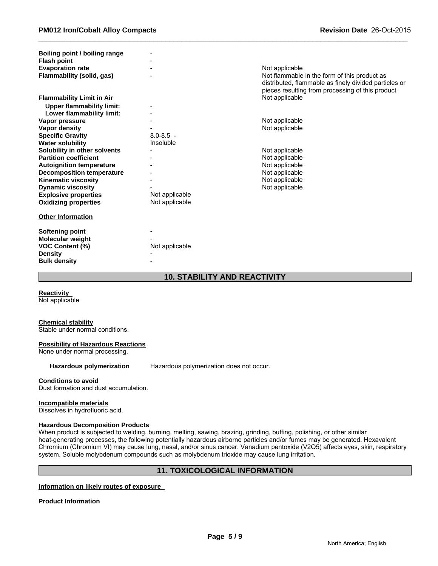| Boiling point / boiling range    |                |                                                                                                           |
|----------------------------------|----------------|-----------------------------------------------------------------------------------------------------------|
| <b>Flash point</b>               |                |                                                                                                           |
| <b>Evaporation rate</b>          |                | Not applicable                                                                                            |
| Flammability (solid, gas)        |                | Not flammable in the form of this product as                                                              |
|                                  |                | distributed, flammable as finely divided particles or<br>pieces resulting from processing of this product |
| <b>Flammability Limit in Air</b> |                | Not applicable                                                                                            |
| <b>Upper flammability limit:</b> |                |                                                                                                           |
| Lower flammability limit:        |                |                                                                                                           |
| Vapor pressure                   |                | Not applicable                                                                                            |
| Vapor density                    |                | Not applicable                                                                                            |
| <b>Specific Gravity</b>          | $8.0 - 8.5 -$  |                                                                                                           |
| <b>Water solubility</b>          | Insoluble      |                                                                                                           |
| Solubility in other solvents     |                | Not applicable                                                                                            |
| <b>Partition coefficient</b>     |                | Not applicable                                                                                            |
| <b>Autoignition temperature</b>  |                | Not applicable                                                                                            |
| <b>Decomposition temperature</b> |                | Not applicable                                                                                            |
| <b>Kinematic viscosity</b>       |                | Not applicable                                                                                            |
| <b>Dynamic viscosity</b>         |                | Not applicable                                                                                            |
| <b>Explosive properties</b>      | Not applicable |                                                                                                           |
| <b>Oxidizing properties</b>      | Not applicable |                                                                                                           |
|                                  |                |                                                                                                           |
| <b>Other Information</b>         |                |                                                                                                           |
|                                  |                |                                                                                                           |
| Softening point                  |                |                                                                                                           |
| Molecular weight                 |                |                                                                                                           |
| <b>VOC Content (%)</b>           | Not applicable |                                                                                                           |
| <b>Density</b>                   |                |                                                                                                           |
| <b>Bulk density</b>              |                |                                                                                                           |

### **10. STABILITY AND REACTIVITY**

**Reactivity** 

Not applicable

#### **Chemical stability**

Stable under normal conditions.

#### **Possibility of Hazardous Reactions**

None under normal processing.

**Hazardous polymerization** Hazardous polymerization does not occur.

#### **Conditions to avoid**

Dust formation and dust accumulation.

#### **Incompatible materials**

Dissolves in hydrofluoric acid.

#### **Hazardous Decomposition Products**

When product is subjected to welding, burning, melting, sawing, brazing, grinding, buffing, polishing, or other similar heat-generating processes, the following potentially hazardous airborne particles and/or fumes may be generated. Hexavalent Chromium (Chromium VI) may cause lung, nasal, and/or sinus cancer. Vanadium pentoxide (V2O5) affects eyes, skin, respiratory system. Soluble molybdenum compounds such as molybdenum trioxide may cause lung irritation.

### **11. TOXICOLOGICAL INFORMATION**

#### **Information on likely routes of exposure**

**Product Information**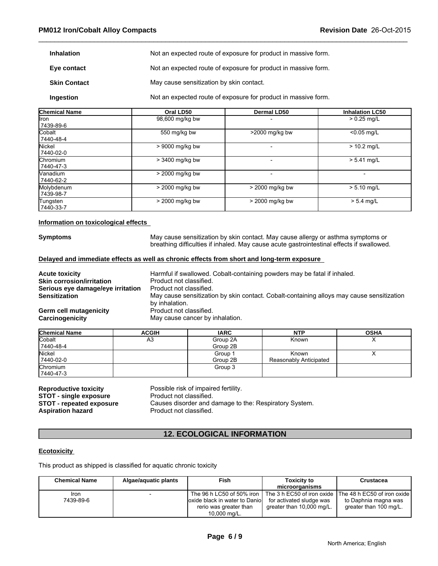| <b>Inhalation</b>   | Not an expected route of exposure for product in massive form. |
|---------------------|----------------------------------------------------------------|
| Eye contact         | Not an expected route of exposure for product in massive form. |
| <b>Skin Contact</b> | May cause sensitization by skin contact.                       |
| Ingestion           | Not an expected route of exposure for product in massive form. |

| <b>Chemical Name</b>         | Oral LD50       | Dermal LD50     | <b>Inhalation LC50</b>   |
|------------------------------|-----------------|-----------------|--------------------------|
| llron<br>7439-89-6           | 98,600 mg/kg bw |                 | $> 0.25$ mg/L            |
| <b>Cobalt</b><br>7440-48-4   | 550 mg/kg bw    | >2000 mg/kg bw  | $< 0.05$ mg/L            |
| Nickel<br>7440-02-0          | > 9000 mg/kg bw |                 | $> 10.2$ mg/L            |
| <b>Chromium</b><br>7440-47-3 | > 3400 mg/kg bw |                 | $> 5.41$ mg/L            |
| Nanadium.<br>7440-62-2       | > 2000 mg/kg bw |                 | $\overline{\phantom{0}}$ |
| Molybdenum<br>7439-98-7      | > 2000 mg/kg bw | > 2000 mg/kg bw | $> 5.10$ mg/L            |
| Tungsten<br>7440-33-7        | > 2000 mg/kg bw | > 2000 mg/kg bw | $> 5.4$ mg/L             |

#### **Information on toxicological effects**

**Symptoms** May cause sensitization by skin contact. May cause allergy or asthma symptoms or breathing difficulties if inhaled. May cause acute gastrointestinal effects if swallowed.

### **Delayed and immediate effects as well as chronic effects from short and long-term exposure**

| <b>Acute toxicity</b>             | Harmful if swallowed. Cobalt-containing powders may be fatal if inhaled.                  |
|-----------------------------------|-------------------------------------------------------------------------------------------|
| <b>Skin corrosion/irritation</b>  | Product not classified.                                                                   |
| Serious eye damage/eye irritation | Product not classified.                                                                   |
| <b>Sensitization</b>              | May cause sensitization by skin contact. Cobalt-containing alloys may cause sensitization |
|                                   | by inhalation.                                                                            |
| Germ cell mutagenicity            | Product not classified.                                                                   |
| Carcinogenicity                   | May cause cancer by inhalation.                                                           |

| <b>Chemical Name</b> | <b>ACGIH</b> | <b>IARC</b>        | <b>NTP</b>             | <b>OSHA</b> |
|----------------------|--------------|--------------------|------------------------|-------------|
| Cobalt               | A3           | Group 2A           | Known                  | $\lambda$   |
| 7440-48-4            |              | Group 2B           |                        |             |
| Nickel               |              | Group <sup>-</sup> | Known                  | ↗           |
| 17440-02-0           |              | Group 2B           | Reasonably Anticipated |             |
| Chromium             |              | Group 3            |                        |             |
| 7440-47-3            |              |                    |                        |             |

**STOT - single exposure** Product not classified.<br> **STOT - repeated exposure** Causes disorder and d Aspiration hazard **Product not classified.** 

**Reproductive toxicity** Possible risk of impaired fertility. Causes disorder and damage to the: Respiratory System.

### **12. ECOLOGICAL INFORMATION**

#### **Ecotoxicity**

This product as shipped is classified for aquatic chronic toxicity

| <b>Chemical Name</b> | Algae/aguatic plants | Fish                           | <b>Toxicity to</b>        | <b>Crustacea</b>                                                                     |
|----------------------|----------------------|--------------------------------|---------------------------|--------------------------------------------------------------------------------------|
|                      |                      |                                | microorganisms            |                                                                                      |
| Iron                 |                      |                                |                           | The 96 h LC50 of 50% iron   The 3 h EC50 of iron oxide   The 48 h EC50 of iron oxide |
| 7439-89-6            |                      | loxide black in water to Danio | for activated sludge was  | to Daphnia magna was                                                                 |
|                      |                      | rerio was greater than         | greater than 10,000 mg/L. | greater than 100 mg/L.                                                               |
|                      |                      | 10,000 mg/L.                   |                           |                                                                                      |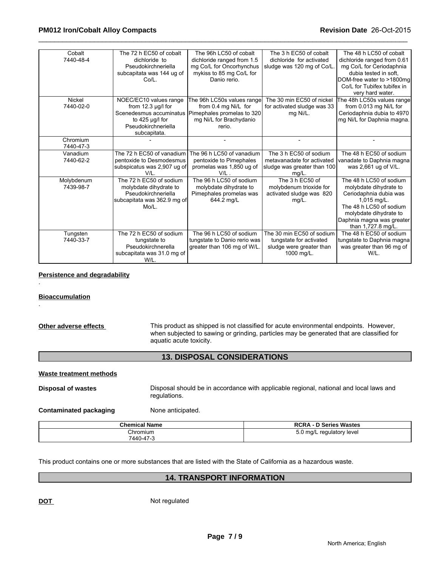| Cobalt<br>7440-48-4     | The 72 h EC50 of cobalt<br>dichloride to<br>Pseudokirchneriella<br>subcapitata was 144 ug of<br>Co/L.                                    | The 96h LC50 of cobalt<br>dichloride ranged from 1.5<br>mg Co/L for Oncorhynchus<br>mykiss to 85 mg Co/L for<br>Danio rerio. | The 3 h EC50 of cobalt<br>dichloride for activated<br>sludge was 120 mg of Co/L                 | The 48 h LC50 of cobalt<br>dichloride ranged from 0.61<br>mg Co/L for Ceriodaphnia<br>dubia tested in soft.<br>DOM-free water to >1800mg<br>Co/L for Tubifex tubifex in<br>very hard water.        |
|-------------------------|------------------------------------------------------------------------------------------------------------------------------------------|------------------------------------------------------------------------------------------------------------------------------|-------------------------------------------------------------------------------------------------|----------------------------------------------------------------------------------------------------------------------------------------------------------------------------------------------------|
| Nickel<br>7440-02-0     | NOEC/EC10 values range<br>from $12.3 \mu g/l$ for<br>Scenedesmus accuminatus<br>to $425$ µg/l for<br>Pseudokirchneriella<br>subcapitata. | The 96h LC50s values range<br>from 0.4 mg Ni/L for<br>Pimephales promelas to 320<br>mg Ni/L for Brachydanio<br>rerio.        | The 30 min EC50 of nickel<br>for activated sludge was 33<br>mg Ni/L.                            | The 48h LC50s values range<br>from 0.013 mg Ni/L for<br>Ceriodaphnia dubia to 4970<br>mg Ni/L for Daphnia magna.                                                                                   |
| Chromium<br>7440-47-3   |                                                                                                                                          | $\qquad \qquad \blacksquare$                                                                                                 |                                                                                                 |                                                                                                                                                                                                    |
| Vanadium<br>7440-62-2   | The 72 h EC50 of vanadium<br>pentoxide to Desmodesmus<br>subspicatus was 2,907 ug of<br>V/I                                              | The 96 h LC50 of vanadium<br>pentoxide to Pimephales<br>promelas was 1,850 ug of<br>V/L                                      | The 3 h EC50 of sodium<br>metavanadate for activated<br>sludge was greater than 100<br>$mg/L$ . | The 48 h EC50 of sodium<br>vanadate to Daphnia magna<br>was 2,661 ug of V/L.                                                                                                                       |
| Molybdenum<br>7439-98-7 | The 72 h EC50 of sodium<br>molybdate dihydrate to<br>Pseudokirchneriella<br>subcapitata was 362.9 mg of<br>Mo/L.                         | The 96 h LC50 of sodium<br>molybdate dihydrate to<br>Pimephales promelas was<br>644.2 mg/L                                   | The 3 h EC50 of<br>molybdenum trioxide for<br>activated sludge was 820<br>$mg/L$ .              | The 48 h LC50 of sodium<br>molybdate dihydrate to<br>Ceriodaphnia dubia was<br>1,015 mg/L.<br>The 48 h LC50 of sodium<br>molybdate dihydrate to<br>Daphnia magna was greater<br>than 1,727.8 mg/L. |
| Tungsten<br>7440-33-7   | The 72 h EC50 of sodium<br>tungstate to<br>Pseudokirchnerella<br>subcapitata was 31.0 mg of<br>W/L.                                      | The 96 h LC50 of sodium<br>tungstate to Danio rerio was<br>greater than 106 mg of W/L.                                       | The 30 min EC50 of sodium<br>tungstate for activated<br>sludge were greater than<br>1000 mg/L.  | The 48 h EC50 of sodium<br>tungstate to Daphnia magna<br>was greater than 96 mg of<br>W/L.                                                                                                         |

### **Persistence and degradability**

### **Bioaccumulation**

.

.

| Other adverse effects | This product as shipped is not classified for acute environmental endpoints. However,    |
|-----------------------|------------------------------------------------------------------------------------------|
|                       | when subjected to sawing or grinding, particles may be generated that are classified for |
|                       | aquatic acute toxicity.                                                                  |

### **13. DISPOSAL CONSIDERATIONS**

### **Waste treatment methods**

**Disposal of wastes** Disposal should be in accordance with applicable regional, national and local laws and regulations.

**Contaminated packaging Mone anticipated.** 

| <b>Chemical Name</b> | <b>RCRA - D Series Wastes</b> |
|----------------------|-------------------------------|
| Chromium             | 5.0 ma/L<br>regulatory level  |
| 7440-47-3            |                               |

This product contains one or more substances that are listed with the State of California as a hazardous waste.

### **14. TRANSPORT INFORMATION**

**DOT** Not regulated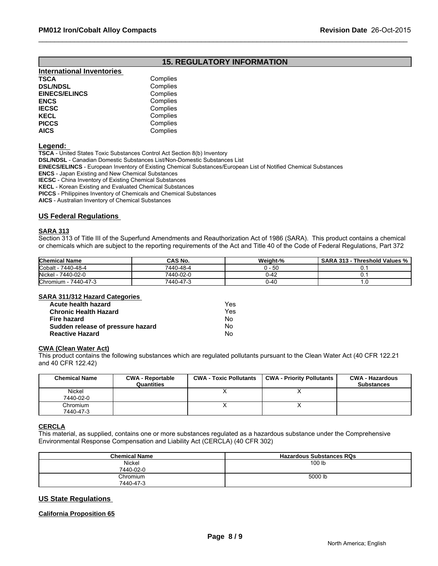### **15. REGULATORY INFORMATION**

| <b>International Inventories</b> |          |
|----------------------------------|----------|
| TSCA                             | Complies |
| <b>DSL/NDSL</b>                  | Complies |
| <b>EINECS/ELINCS</b>             | Complies |
| ENCS                             | Complies |
| <b>IECSC</b>                     | Complies |
| KECL                             | Complies |
| PICCS                            | Complies |
| AICS                             | Complies |
|                                  |          |

**Legend:** 

**TSCA** - United States Toxic Substances Control Act Section 8(b) Inventory

**DSL/NDSL** - Canadian Domestic Substances List/Non-Domestic Substances List

**EINECS/ELINCS** - European Inventory of Existing Chemical Substances/European List of Notified Chemical Substances

**ENCS** - Japan Existing and New Chemical Substances

**IECSC** - China Inventory of Existing Chemical Substances

**KECL** - Korean Existing and Evaluated Chemical Substances

**PICCS** - Philippines Inventory of Chemicals and Chemical Substances

**AICS** - Australian Inventory of Chemical Substances

#### **US Federal Regulations**

#### **SARA 313**

Section 313 of Title III of the Superfund Amendments and Reauthorization Act of 1986 (SARA). This product contains a chemical or chemicals which are subject to the reporting requirements of the Act and Title 40 of the Code of Federal Regulations, Part 372

| <b>Chemical Name</b>         | <b>CAS No.</b> | Weight-%       | Threshold Values %,<br><b>SARA</b><br>313ء |
|------------------------------|----------------|----------------|--------------------------------------------|
| Cobalt<br>)-48-4<br>7440-    | 7440-48-4      | 50             |                                            |
| Nickel<br>7440-02-0          | 7440-02-0      | <u>- 11-42</u> |                                            |
| 7440-47-3<br><b>Chromium</b> | 7440-47-ა      | 'J-40          |                                            |

#### **SARA 311/312 Hazard Categories**

| Acute health hazard               | Yes |
|-----------------------------------|-----|
| <b>Chronic Health Hazard</b>      | Yes |
| Fire hazard                       | N٥  |
| Sudden release of pressure hazard | No. |
| <b>Reactive Hazard</b>            | No  |

#### **CWA (Clean Water Act)**

This product contains the following substances which are regulated pollutants pursuant to the Clean Water Act (40 CFR 122.21 and 40 CFR 122.42)

| <b>Chemical Name</b>  | <b>CWA - Reportable</b><br>Quantities | <b>CWA - Toxic Pollutants</b> | <b>CWA - Priority Pollutants</b> | <b>CWA - Hazardous</b><br><b>Substances</b> |
|-----------------------|---------------------------------------|-------------------------------|----------------------------------|---------------------------------------------|
| Nickel<br>7440-02-0   |                                       |                               |                                  |                                             |
| Chromium<br>7440-47-3 |                                       |                               |                                  |                                             |

### **CERCLA**

This material, as supplied, contains one or more substances regulated as a hazardous substance under the Comprehensive Environmental Response Compensation and Liability Act (CERCLA) (40 CFR 302)

| <b>Chemical Name</b> | <b>Hazardous Substances RQs</b> |
|----------------------|---------------------------------|
| Nickel               | 100 lb                          |
| 7440-02-0            |                                 |
| Chromium             | 5000 lb                         |
| 7440-47-3            |                                 |

### **US State Regulations**

#### **California Proposition 65**